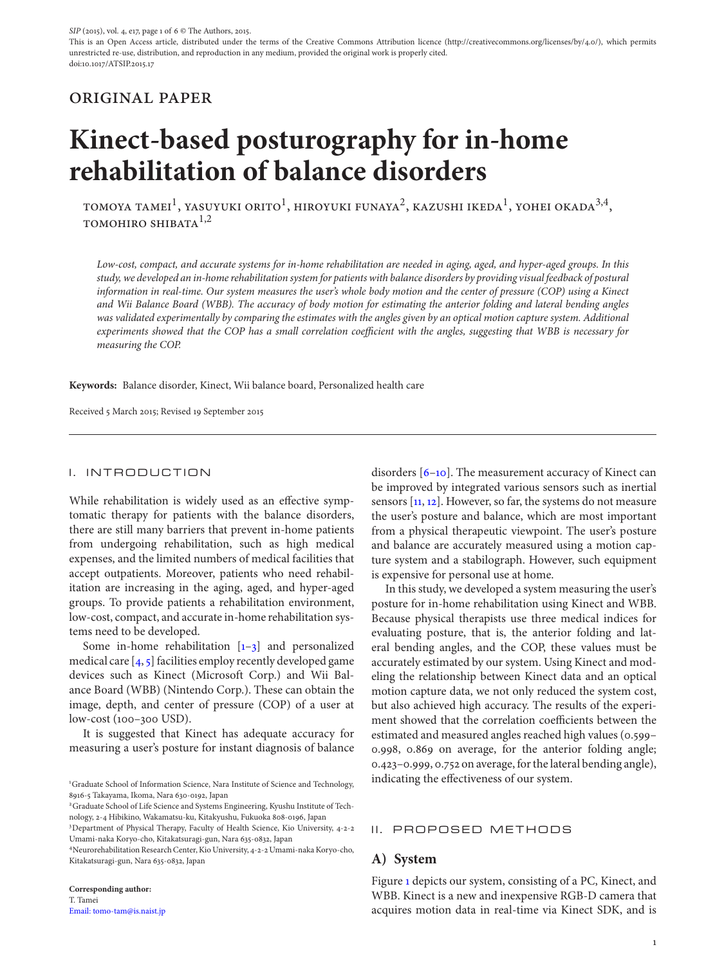## original paper

# **Kinect-based posturography for in-home rehabilitation of balance disorders**

TOMOYA TAMEI<sup>1</sup>, YASUYUKI ORITO<sup>1</sup>, HIROYUKI FUNAYA<sup>2</sup>, KAZUSHI IKEDA<sup>1</sup>, YOHEI OKADA<sup>3,4</sup>, TOMOHIRO SHIBATA $1,2$ 

*Low-cost, compact, and accurate systems for in-home rehabilitation are needed in aging, aged, and hyper-aged groups. In this study, we developed an in-home rehabilitation system for patients with balance disorders by providing visual feedback of postural information in real-time. Our system measures the user's whole body motion and the center of pressure (COP) using a Kinect and Wii Balance Board (WBB). The accuracy of body motion for estimating the anterior folding and lateral bending angles was validated experimentally by comparing the estimates with the angles given by an optical motion capture system. Additional experiments showed that the COP has a small correlation coefficient with the angles, suggesting that WBB is necessary for measuring the COP.*

**Keywords:** Balance disorder, Kinect, Wii balance board, Personalized health care

Received 5 March 2015; Revised 19 September 2015

#### I. INTRODUCTION

While rehabilitation is widely used as an effective symptomatic therapy for patients with the balance disorders, there are still many barriers that prevent in-home patients from undergoing rehabilitation, such as high medical expenses, and the limited numbers of medical facilities that accept outpatients. Moreover, patients who need rehabilitation are increasing in the aging, aged, and hyper-aged groups. To provide patients a rehabilitation environment, low-cost, compact, and accurate in-home rehabilitation systems need to be developed.

Some in-home rehabilitation  $[1-3]$  $[1-3]$  and personalized medical care  $[4, 5]$  $[4, 5]$  $[4, 5]$  facilities employ recently developed game devices such as Kinect (Microsoft Corp.) and Wii Balance Board (WBB) (Nintendo Corp.). These can obtain the image, depth, and center of pressure (COP) of a user at low-cost (100–300 USD).

It is suggested that Kinect has adequate accuracy for measuring a user's posture for instant diagnosis of balance

**Corresponding author:** T. Tamei [Email: tomo-tam@is.naist.jp](mailto:tomo-tam@is.naist.jp) disorders [\[6–](#page-5-1)[10\]](#page-5-2). The measurement accuracy of Kinect can be improved by integrated various sensors such as inertial sensors [\[11,](#page-5-3) [12\]](#page-5-4). However, so far, the systems do not measure the user's posture and balance, which are most important from a physical therapeutic viewpoint. The user's posture and balance are accurately measured using a motion capture system and a stabilograph. However, such equipment is expensive for personal use at home.

In this study, we developed a system measuring the user's posture for in-home rehabilitation using Kinect and WBB. Because physical therapists use three medical indices for evaluating posture, that is, the anterior folding and lateral bending angles, and the COP, these values must be accurately estimated by our system. Using Kinect and modeling the relationship between Kinect data and an optical motion capture data, we not only reduced the system cost, but also achieved high accuracy. The results of the experiment showed that the correlation coefficients between the estimated and measured angles reached high values (0.599– 0.998, 0.869 on average, for the anterior folding angle; 0.423–0.999, 0.752 on average, for the lateral bending angle), indicating the effectiveness of our system.

#### II. PROPOSED METHODS

## **A) System**

Figure [1](#page-1-0) depicts our system, consisting of a PC, Kinect, and WBB. Kinect is a new and inexpensive RGB-D camera that acquires motion data in real-time via Kinect SDK, and is

<sup>&</sup>lt;sup>1</sup>Graduate School of Information Science, Nara Institute of Science and Technology, 8916-5 Takayama, Ikoma, Nara 630-0192, Japan

<sup>2</sup>Graduate School of Life Science and Systems Engineering, Kyushu Institute of Technology, 2-4 Hibikino, Wakamatsu-ku, Kitakyushu, Fukuoka 808-0196, Japan

<sup>3</sup> Department of Physical Therapy, Faculty of Health Science, Kio University, 4-2-2 Umami-naka Koryo-cho, Kitakatsuragi-gun, Nara 635-0832, Japan

<sup>4</sup>Neurorehabilitation Research Center, Kio University, 4-2-2 Umami-naka Koryo-cho, Kitakatsuragi-gun, Nara 635-0832, Japan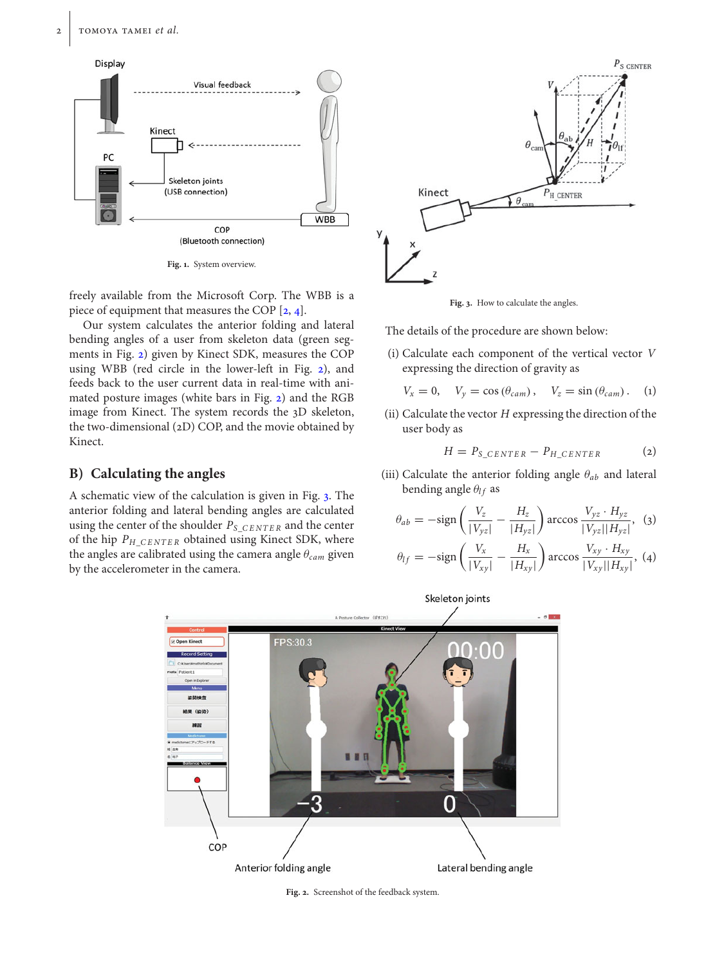

<span id="page-1-0"></span>**Fig. 1.** System overview.

freely available from the Microsoft Corp. The WBB is a piece of equipment that measures the COP [\[2,](#page-4-3) [4\]](#page-4-2).

Our system calculates the anterior folding and lateral bending angles of a user from skeleton data (green segments in Fig. [2\)](#page-1-1) given by Kinect SDK, measures the COP using WBB (red circle in the lower-left in Fig. [2\)](#page-1-1), and feeds back to the user current data in real-time with animated posture images (white bars in Fig. [2\)](#page-1-1) and the RGB image from Kinect. The system records the 3D skeleton, the two-dimensional (2D) COP, and the movie obtained by Kinect.

## **B) Calculating the angles**

A schematic view of the calculation is given in Fig. [3.](#page-1-2) The anterior folding and lateral bending angles are calculated using the center of the shoulder *PS*\_*CENTE R* and the center of the hip *PH*\_*CENTE R* obtained using Kinect SDK, where the angles are calibrated using the camera angle θ*cam* given by the accelerometer in the camera.



<span id="page-1-2"></span>**Fig. 3.** How to calculate the angles.

The details of the procedure are shown below:

(i) Calculate each component of the vertical vector *V* expressing the direction of gravity as

$$
V_x = 0, \quad V_y = \cos(\theta_{cam}), \quad V_z = \sin(\theta_{cam}). \quad (1)
$$

(ii) Calculate the vector *H* expressing the direction of the user body as

$$
H = P_{S\_CENTER} - P_{H\_CENTER} \tag{2}
$$

(iii) Calculate the anterior folding angle θ*ab* and lateral bending angle  $\theta_{lf}$  as

$$
\theta_{ab} = -\text{sign}\left(\frac{V_z}{|V_{yz}|} - \frac{H_z}{|H_{yz}|}\right) \arccos \frac{V_{yz} \cdot H_{yz}}{|V_{yz}||H_{yz}|}, \quad (3)
$$

$$
\theta_{lf} = -\text{sign}\left(\frac{V_x}{|V_{xy}|} - \frac{H_x}{|H_{xy}|}\right) \arccos \frac{V_{xy} \cdot H_{xy}}{|V_{xy}||H_{xy}|}, \quad (4)
$$



<span id="page-1-1"></span>**Fig. 2.** Screenshot of the feedback system.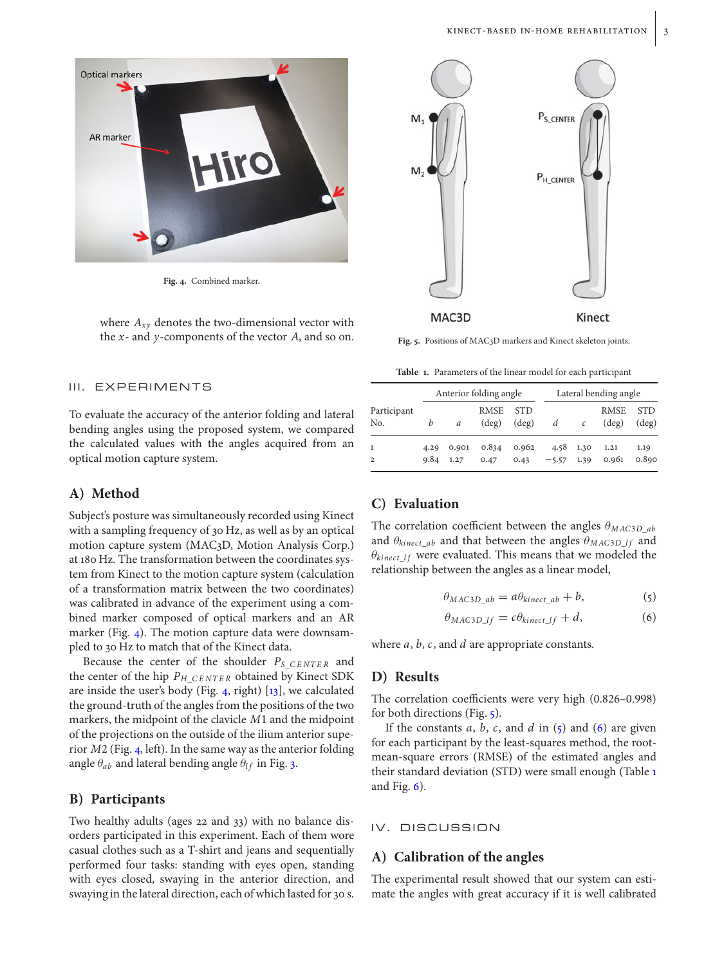

**Fig. 4.** Combined marker.

<span id="page-2-0"></span>where  $A_{xy}$  denotes the two-dimensional vector with the *x*- and *y*-components of the vector *A*, and so on.

#### III. EXPERIMENTS

To evaluate the accuracy of the anterior folding and lateral bending angles using the proposed system, we compared the calculated values with the angles acquired from an optical motion capture system.

#### **A) Method**

Subject's posture was simultaneously recorded using Kinect with a sampling frequency of 30 Hz, as well as by an optical motion capture system (MAC3D, Motion Analysis Corp.) at 180 Hz. The transformation between the coordinates system from Kinect to the motion capture system (calculation of a transformation matrix between the two coordinates) was calibrated in advance of the experiment using a combined marker composed of optical markers and an AR marker (Fig. [4\)](#page-2-0). The motion capture data were downsampled to 30 Hz to match that of the Kinect data.

Because the center of the shoulder *PS*\_*CENTE R* and the center of the hip *PH*\_*CENTE R* obtained by Kinect SDK are inside the user's body (Fig. [4,](#page-2-0) right)  $[13]$ , we calculated the ground-truth of the angles from the positions of the two markers, the midpoint of the clavicle *<sup>M</sup>*1 and the midpoint of the projections on the outside of the ilium anterior superior *<sup>M</sup>*2 (Fig. [4,](#page-2-0) left). In the same way as the anterior folding angle  $\theta_{ab}$  and lateral bending angle  $\theta_{lf}$  in Fig. [3.](#page-1-2)

#### **B) Participants**

Two healthy adults (ages 22 and 33) with no balance disorders participated in this experiment. Each of them wore casual clothes such as a T-shirt and jeans and sequentially performed four tasks: standing with eyes open, standing with eyes closed, swaying in the anterior direction, and swaying in the lateral direction, each of which lasted for 30 s.



<span id="page-2-1"></span>**Fig. 5.** Positions of MAC3D markers and Kinect skeleton joints.

<span id="page-2-4"></span>**Table 1.** Parameters of the linear model for each participant

|                    | Anterior folding angle |               |                               |                              | Lateral bending angle |               |                               |                              |
|--------------------|------------------------|---------------|-------------------------------|------------------------------|-----------------------|---------------|-------------------------------|------------------------------|
| Participant<br>No. | b                      | a             | <b>RMSE</b><br>$(\text{deg})$ | <b>STD</b><br>$(\text{deg})$ | d                     | $\mathcal{C}$ | <b>RMSE</b><br>$(\text{deg})$ | <b>STD</b><br>$(\text{deg})$ |
| $\overline{2}$     | 4.29<br>9.84           | 0.901<br>1.27 | 0.834<br>0.47                 | 0.962<br>0.43                | 4.58<br>$-5.57$       | 1.30<br>1.39  | 1.21<br>0.961                 | 1.19<br>0.890                |

## **C) Evaluation**

The correlation coefficient between the angles  $\theta_{MAC3D}$ <sub>*ab*</sub> and  $\theta_{kinect\_ab}$  and that between the angles  $\theta_{MAC3D\_lf}$  and  $\theta_{kinect\_If}$  were evaluated. This means that we modeled the relationship between the angles as a linear model,

<span id="page-2-2"></span>
$$
\theta_{MAC3D\_ab} = a\theta_{kinect\_ab} + b,\tag{5}
$$

<span id="page-2-3"></span>
$$
\theta_{MAC3D\_lf} = c\theta_{kinect\_lf} + d,\tag{6}
$$

where *a*, *b*, *c*, and *d* are appropriate constants.

#### **D) Results**

The correlation coefficients were very high (0.826–0.998) for both directions (Fig. [5\)](#page-2-1).

If the constants  $a$ ,  $b$ ,  $c$ , and  $d$  in  $(5)$  and  $(6)$  are given for each participant by the least-squares method, the rootmean-square errors (RMSE) of the estimated angles and their standard deviation (STD) were small enough (Table [1](#page-2-4) and Fig.  $6$ ).

#### IV. DISCUSSION

## **A) Calibration of the angles**

The experimental result showed that our system can estimate the angles with great accuracy if it is well calibrated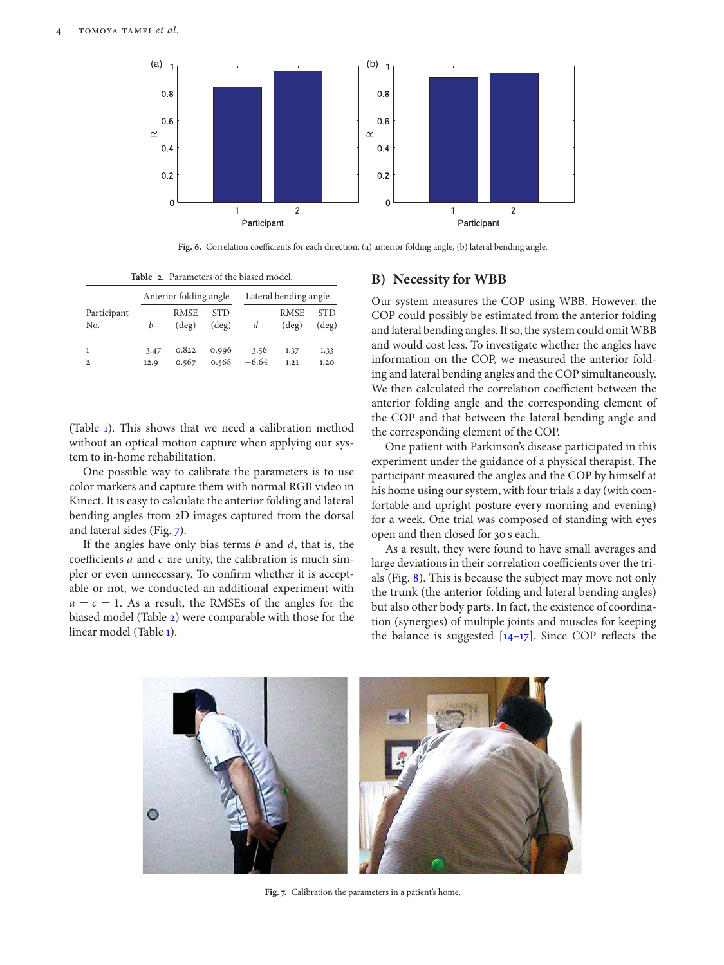

<span id="page-3-2"></span><span id="page-3-0"></span>**Fig. 6.** Correlation coefficients for each direction, (a) anterior folding angle, (b) lateral bending angle.

**Table 2.** Parameters of the biased model.

|                    |              | Anterior folding angle        |                              |                 | Lateral bending angle         |                              |  |  |
|--------------------|--------------|-------------------------------|------------------------------|-----------------|-------------------------------|------------------------------|--|--|
| Participant<br>No. | b            | <b>RMSE</b><br>$(\text{deg})$ | <b>STD</b><br>$(\text{deg})$ | d               | <b>RMSE</b><br>$(\text{deg})$ | <b>STD</b><br>$(\text{deg})$ |  |  |
| 1<br>$\mathbf{2}$  | 3.47<br>12.9 | 0.822<br>0.567                | 0.996<br>0.568               | 3.56<br>$-6.64$ | 1.37<br>1.21                  | 1.33<br>1.20                 |  |  |

(Table [1\)](#page-2-4). This shows that we need a calibration method without an optical motion capture when applying our system to in-home rehabilitation.

One possible way to calibrate the parameters is to use color markers and capture them with normal RGB video in Kinect. It is easy to calculate the anterior folding and lateral bending angles from 2D images captured from the dorsal and lateral sides (Fig. [7\)](#page-3-1).

If the angles have only bias terms *b* and *d*, that is, the coefficients *a* and *c* are unity, the calibration is much simpler or even unnecessary. To confirm whether it is acceptable or not, we conducted an additional experiment with  $a = c = 1$ . As a result, the RMSEs of the angles for the biased model (Table [2\)](#page-3-2) were comparable with those for the linear model (Table [1\)](#page-2-4).

### **B) Necessity for WBB**

Our system measures the COP using WBB. However, the COP could possibly be estimated from the anterior folding and lateral bending angles. If so, the system could omit WBB and would cost less. To investigate whether the angles have information on the COP, we measured the anterior folding and lateral bending angles and the COP simultaneously. We then calculated the correlation coefficient between the anterior folding angle and the corresponding element of the COP and that between the lateral bending angle and the corresponding element of the COP.

One patient with Parkinson's disease participated in this experiment under the guidance of a physical therapist. The participant measured the angles and the COP by himself at his home using our system, with four trials a day (with comfortable and upright posture every morning and evening) for a week. One trial was composed of standing with eyes open and then closed for 30 s each.

As a result, they were found to have small averages and large deviations in their correlation coefficients over the trials (Fig. [8\)](#page-4-4). This is because the subject may move not only the trunk (the anterior folding and lateral bending angles) but also other body parts. In fact, the existence of coordination (synergies) of multiple joints and muscles for keeping the balance is suggested  $[14-17]$  $[14-17]$ . Since COP reflects the

<span id="page-3-1"></span>

**Fig. 7.** Calibration the parameters in a patient's home.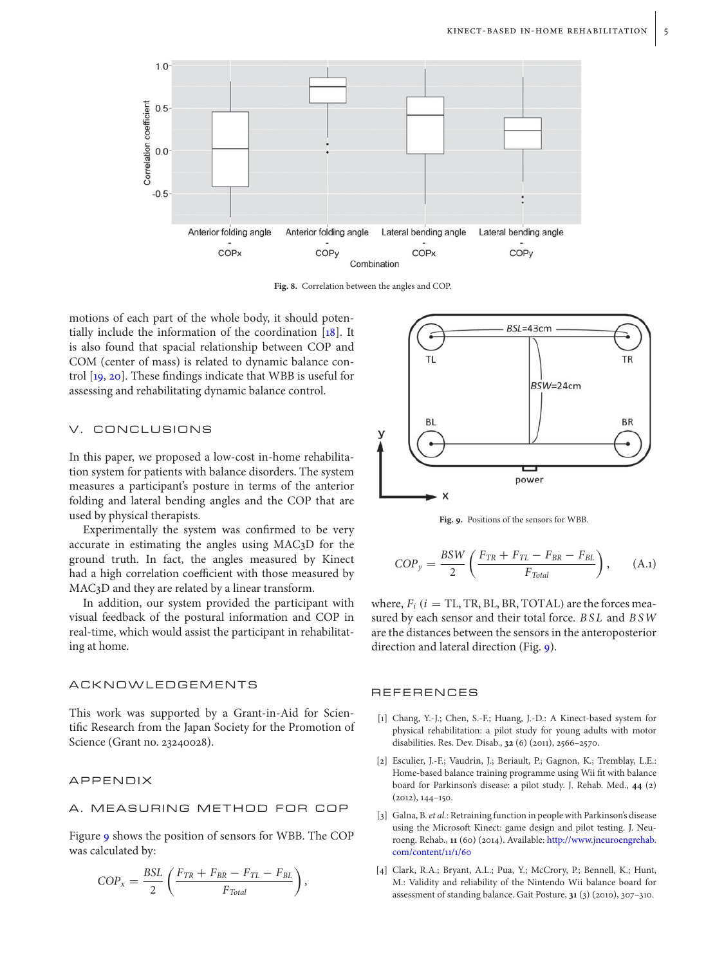

<span id="page-4-4"></span>**Fig. 8.** Correlation between the angles and COP.

motions of each part of the whole body, it should potentially include the information of the coordination [\[18\]](#page-5-8). It is also found that spacial relationship between COP and COM (center of mass) is related to dynamic balance control [\[19,](#page-5-9) [20\]](#page-5-10). These findings indicate that WBB is useful for assessing and rehabilitating dynamic balance control.

## V. CONCLUSIONS

In this paper, we proposed a low-cost in-home rehabilitation system for patients with balance disorders. The system measures a participant's posture in terms of the anterior folding and lateral bending angles and the COP that are used by physical therapists.

Experimentally the system was confirmed to be very accurate in estimating the angles using MAC3D for the ground truth. In fact, the angles measured by Kinect had a high correlation coefficient with those measured by MAC3D and they are related by a linear transform.

In addition, our system provided the participant with visual feedback of the postural information and COP in real-time, which would assist the participant in rehabilitating at home.

#### ACKNOWLEDGEMENTS

This work was supported by a Grant-in-Aid for Scientific Research from the Japan Society for the Promotion of Science (Grant no. 23240028).

#### APPENDIX

## A. MEASURING METHOD FOR COP

Figure [9](#page-4-5) shows the position of sensors for WBB. The COP was calculated by:

$$
COP_x = \frac{BSL}{2} \left( \frac{F_{TR} + F_{BR} - F_{TL} - F_{BL}}{F_{Total}} \right),
$$



<span id="page-4-5"></span>**Fig. 9.** Positions of the sensors for WBB.

$$
COP_y = \frac{BSW}{2} \left( \frac{F_{TR} + F_{TL} - F_{BR} - F_{BL}}{F_{Total}} \right), \quad (A.1)
$$

where,  $F_i$  ( $i = TL$ , TR, BL, BR, TOTAL) are the forces measured by each sensor and their total force. *BSL* and *BSW* are the distances between the sensors in the anteroposterior direction and lateral direction (Fig. [9\)](#page-4-5).

#### **REFERENCES**

- <span id="page-4-0"></span>[1] Chang, Y.-J.; Chen, S.-F.; Huang, J.-D.: A Kinect-based system for physical rehabilitation: a pilot study for young adults with motor disabilities. Res. Dev. Disab., **32** (6) (2011), 2566–2570.
- <span id="page-4-3"></span>[2] Esculier, J.-F.; Vaudrin, J.; Beriault, P.; Gagnon, K.; Tremblay, L.E.: Home-based balance training programme using Wii fit with balance board for Parkinson's disease: a pilot study. J. Rehab. Med., **44** (2) (2012), 144–150.
- <span id="page-4-1"></span>[3] Galna, B. *et al.*: Retraining function in people with Parkinson's disease using the Microsoft Kinect: game design and pilot testing. J. Neuroeng. Rehab., **11** (60) (2014). Available: [http://www.jneuroengrehab.](http://www.jneuroengrehab.com/content/11/1/60) [com/content/11/1/60](http://www.jneuroengrehab.com/content/11/1/60)
- <span id="page-4-2"></span>[4] Clark, R.A.; Bryant, A.L.; Pua, Y.; McCrory, P.; Bennell, K.; Hunt, M.: Validity and reliability of the Nintendo Wii balance board for assessment of standing balance. Gait Posture, **31** (3) (2010), 307–310.